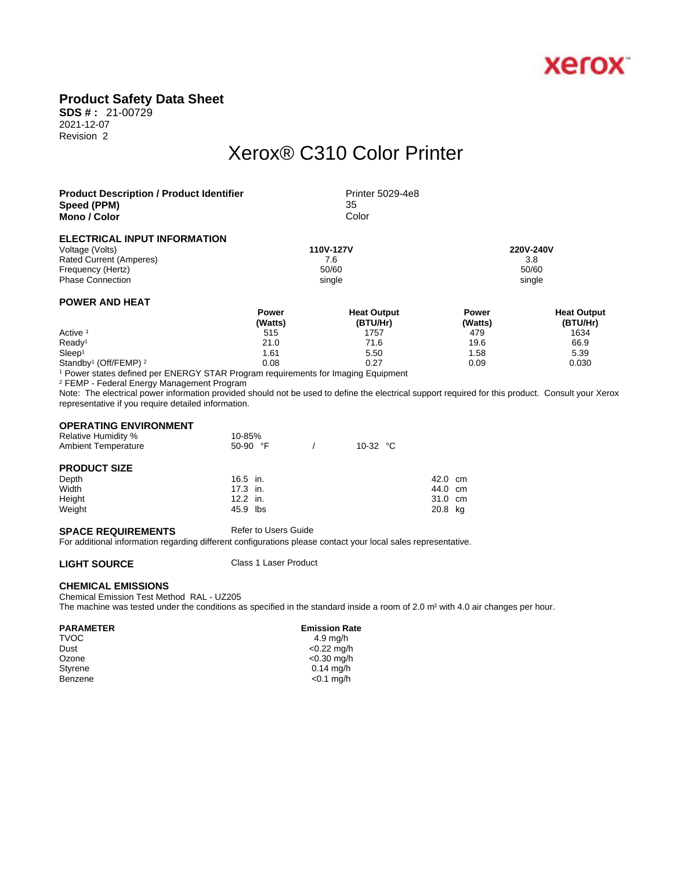

## **Product Safety Data Sheet**

**SDS # :** 21-00729 2021-12-07 Revision 2

# Xerox® C310 Color Printer

| <b>Product Description / Product Identifier</b><br>Speed (PPM) |                         | Printer 5029-4e8<br>35         |                         |                                |  |  |
|----------------------------------------------------------------|-------------------------|--------------------------------|-------------------------|--------------------------------|--|--|
| Mono / Color                                                   |                         | Color                          |                         |                                |  |  |
| ELECTRICAL INPUT INFORMATION                                   |                         |                                |                         |                                |  |  |
| Voltage (Volts)                                                |                         | 110V-127V                      |                         | 220V-240V                      |  |  |
| <b>Rated Current (Amperes)</b>                                 |                         | 7.6                            |                         | 3.8                            |  |  |
| Frequency (Hertz)                                              |                         | 50/60                          | 50/60                   |                                |  |  |
| <b>Phase Connection</b>                                        |                         | single                         | single                  |                                |  |  |
| <b>POWER AND HEAT</b>                                          |                         |                                |                         |                                |  |  |
|                                                                | <b>Power</b><br>(Watts) | <b>Heat Output</b><br>(BTU/Hr) | <b>Power</b><br>(Watts) | <b>Heat Output</b><br>(BTU/Hr) |  |  |
| Active <sup>1</sup>                                            | 515                     | 1757                           | 479                     | 1634                           |  |  |
| Ready <sup>1</sup>                                             | 21.0                    | 71.6                           | 19.6                    | 66.9                           |  |  |
| Sleep <sup>1</sup>                                             | 1.61                    | 5.50                           | 1.58                    | 5.39                           |  |  |

Standby<sup>1</sup> (Off/FEMP)<sup>2</sup>

1 Power states defined per ENERGY STAR Program requirements for Imaging Equipment (Off/FEMP)<sup>2</sup> 0.08 0.27 0.09 0.030

2 FEMP - Federal Energy Management Program

Note: The electrical power information provided should not be used to define the electrical support required for this product. Consult your Xerox representative if you require detailed information.

### **OPERATING ENVIRONMENT**

| <b>Relative Humidity %</b> | 10-85%            |                   |         |  |
|----------------------------|-------------------|-------------------|---------|--|
| <b>Ambient Temperature</b> | 50-90 $\degree$ F | 10-32 $\degree$ C |         |  |
| <b>PRODUCT SIZE</b>        |                   |                   |         |  |
| Depth                      | $16.5$ in.        |                   | 42.0 cm |  |
| Width                      | $17.3$ in.        |                   | 44.0 cm |  |
| Height                     | $12.2$ in.        |                   | 31.0 cm |  |
| Weight                     | 45.9 lbs          |                   | 20.8 kg |  |

#### **SPACE REQUIREMENTS** Refer to Users Guide

For additional information regarding different configurations please contact your local sales representative.

**LIGHT SOURCE** Class 1 Laser Product

### **CHEMICAL EMISSIONS**

Chemical Emission Test Method RAL - UZ205

The machine was tested under the conditions as specified in the standard inside a room of 2.0 m<sup>3</sup> with 4.0 air changes per hour.

#### PARAMETER **EMISSION RATES**

TVOC 4.9 mg/h

Dust <0.22 mg/h<br>Ozone <0.30 mg/h Ozone <0.30 mg/h<br>Styrene <0.30 mg/h  $0.14$  mg/h Benzene <0.1 mg/h